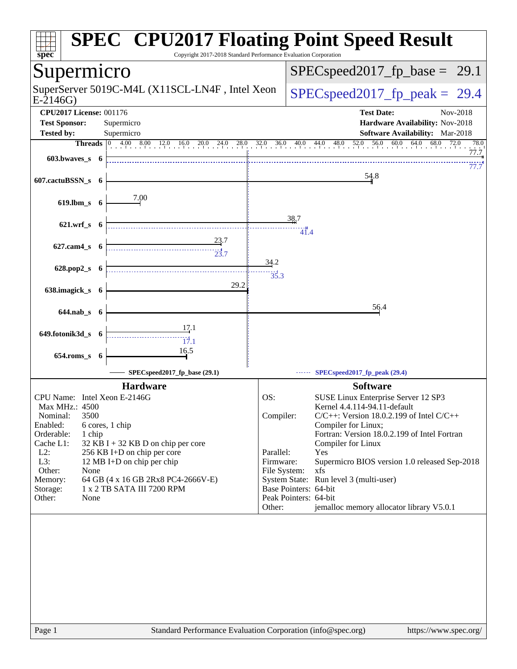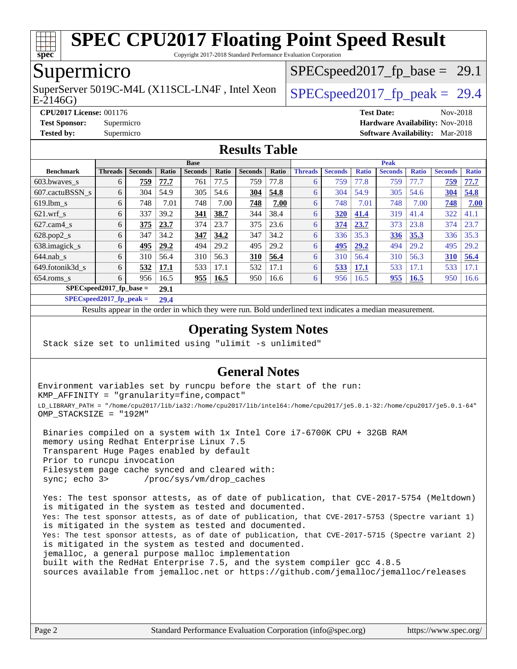

Copyright 2017-2018 Standard Performance Evaluation Corporation

## Supermicro

E-2146G) SuperServer 5019C-M4L (X11SCL-LN4F, Intel Xeon  $\big|$  SPECspeed2017 fp\_peak = 29.4

 $SPECspeed2017_fp\_base = 29.1$ 

**[CPU2017 License:](http://www.spec.org/auto/cpu2017/Docs/result-fields.html#CPU2017License)** 001176 **[Test Date:](http://www.spec.org/auto/cpu2017/Docs/result-fields.html#TestDate)** Nov-2018 **[Test Sponsor:](http://www.spec.org/auto/cpu2017/Docs/result-fields.html#TestSponsor)** Supermicro **[Hardware Availability:](http://www.spec.org/auto/cpu2017/Docs/result-fields.html#HardwareAvailability)** Nov-2018 **[Tested by:](http://www.spec.org/auto/cpu2017/Docs/result-fields.html#Testedby)** Supermicro **[Software Availability:](http://www.spec.org/auto/cpu2017/Docs/result-fields.html#SoftwareAvailability)** Mar-2018

### **[Results Table](http://www.spec.org/auto/cpu2017/Docs/result-fields.html#ResultsTable)**

|                            | <b>Base</b>    |                |       |                |             | <b>Peak</b>    |       |                |                |              |                |              |                |              |
|----------------------------|----------------|----------------|-------|----------------|-------------|----------------|-------|----------------|----------------|--------------|----------------|--------------|----------------|--------------|
| <b>Benchmark</b>           | <b>Threads</b> | <b>Seconds</b> | Ratio | <b>Seconds</b> | Ratio       | <b>Seconds</b> | Ratio | <b>Threads</b> | <b>Seconds</b> | <b>Ratio</b> | <b>Seconds</b> | <b>Ratio</b> | <b>Seconds</b> | <b>Ratio</b> |
| $603.bwaves$ s             | 6              | 759            | 77.7  | 761            | 77.5        | 759            | 77.8  | 6              | 759            | 77.8         | 759            | 77.7         | 759            | 77.7         |
| 607.cactuBSSN s            | 6              | 304            | 54.9  | 305            | 54.6        | 304            | 54.8  | 6              | 304            | 54.9         | 305            | 54.6         | 304            | 54.8         |
| $619.1$ bm s               | 6              | 748            | 7.01  | 748            | 7.00        | 748            | 7.00  | 6              | 748            | 7.01         | 748            | 7.00         | 748            | 7.00         |
| $621$ .wrf s               | 6              | 337            | 39.2  | 341            | 38.7        | 344            | 38.4  | 6              | 320            | 41.4         | 319            | 41.4         | 322            | 41.1         |
| $627$ .cam $4 \text{ s}$   | 6              | 375            | 23.7  | 374            | 23.7        | 375            | 23.6  | 6              | 374            | 23.7         | 373            | 23.8         | 374            | 23.7         |
| $628.pop2_s$               | 6              | 347            | 34.2  | 347            | 34.2        | 347            | 34.2  | 6              | 336            | 35.3         | 336            | 35.3         | 336            | 35.3         |
| 638.imagick_s              | 6              | 495            | 29.2  | 494            | 29.2        | 495            | 29.2  | 6              | 495            | 29.2         | 494            | 29.2         | 495            | 29.2         |
| $644$ .nab s               | 6              | 310            | 56.4  | 310            | 56.3        | 310            | 56.4  | 6              | 310            | 56.4         | 310            | 56.3         | 310            | 56.4         |
| 649.fotonik3d s            | 6              | 532            | 17.1  | 533            | 17.1        | 532            | 17.1  | 6              | 533            | 17.1         | 533            | 17.1         | 533            | 17.1         |
| $654$ .roms s              | 6              | 956            | 16.5  | 955            | <b>16.5</b> | 950            | 16.6  | 6              | 956            | 16.5         | 955            | <b>16.5</b>  | 950            | 16.6         |
| $SPECspeed2017_fp\_base =$ |                |                | 29.1  |                |             |                |       |                |                |              |                |              |                |              |

**[SPECspeed2017\\_fp\\_peak =](http://www.spec.org/auto/cpu2017/Docs/result-fields.html#SPECspeed2017fppeak) 29.4**

Results appear in the [order in which they were run.](http://www.spec.org/auto/cpu2017/Docs/result-fields.html#RunOrder) Bold underlined text [indicates a median measurement](http://www.spec.org/auto/cpu2017/Docs/result-fields.html#Median).

### **[Operating System Notes](http://www.spec.org/auto/cpu2017/Docs/result-fields.html#OperatingSystemNotes)**

Stack size set to unlimited using "ulimit -s unlimited"

## **[General Notes](http://www.spec.org/auto/cpu2017/Docs/result-fields.html#GeneralNotes)**

Environment variables set by runcpu before the start of the run: KMP\_AFFINITY = "granularity=fine,compact" LD\_LIBRARY\_PATH = "/home/cpu2017/lib/ia32:/home/cpu2017/lib/intel64:/home/cpu2017/je5.0.1-32:/home/cpu2017/je5.0.1-64" OMP\_STACKSIZE = "192M"

 Binaries compiled on a system with 1x Intel Core i7-6700K CPU + 32GB RAM memory using Redhat Enterprise Linux 7.5 Transparent Huge Pages enabled by default Prior to runcpu invocation Filesystem page cache synced and cleared with: sync; echo 3> /proc/sys/vm/drop\_caches

 Yes: The test sponsor attests, as of date of publication, that CVE-2017-5754 (Meltdown) is mitigated in the system as tested and documented. Yes: The test sponsor attests, as of date of publication, that CVE-2017-5753 (Spectre variant 1) is mitigated in the system as tested and documented. Yes: The test sponsor attests, as of date of publication, that CVE-2017-5715 (Spectre variant 2) is mitigated in the system as tested and documented. jemalloc, a general purpose malloc implementation built with the RedHat Enterprise 7.5, and the system compiler gcc 4.8.5 sources available from jemalloc.net or <https://github.com/jemalloc/jemalloc/releases>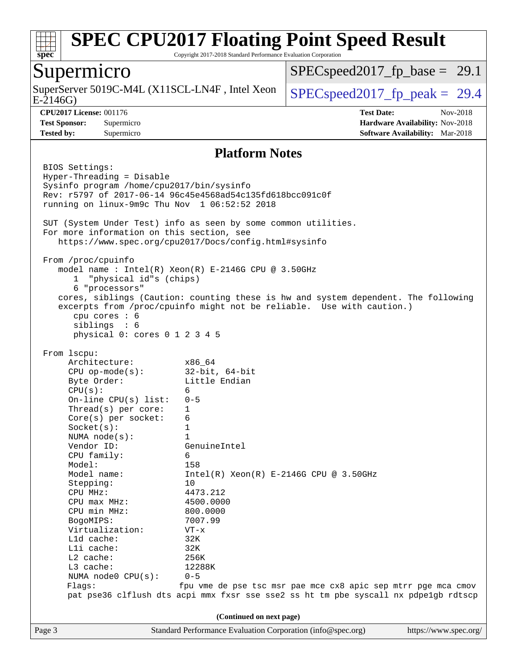

Copyright 2017-2018 Standard Performance Evaluation Corporation

## Supermicro

E-2146G) SuperServer 5019C-M4L (X11SCL-LN4F, Intel Xeon  $\big|$  [SPECspeed2017\\_fp\\_peak =](http://www.spec.org/auto/cpu2017/Docs/result-fields.html#SPECspeed2017fppeak) 29.4

 $SPECspeed2017_fp\_base = 29.1$ 

**[CPU2017 License:](http://www.spec.org/auto/cpu2017/Docs/result-fields.html#CPU2017License)** 001176 **[Test Date:](http://www.spec.org/auto/cpu2017/Docs/result-fields.html#TestDate)** Nov-2018 **[Test Sponsor:](http://www.spec.org/auto/cpu2017/Docs/result-fields.html#TestSponsor)** Supermicro **[Hardware Availability:](http://www.spec.org/auto/cpu2017/Docs/result-fields.html#HardwareAvailability)** Nov-2018 **[Tested by:](http://www.spec.org/auto/cpu2017/Docs/result-fields.html#Testedby)** Supermicro **[Software Availability:](http://www.spec.org/auto/cpu2017/Docs/result-fields.html#SoftwareAvailability)** Mar-2018

#### **[Platform Notes](http://www.spec.org/auto/cpu2017/Docs/result-fields.html#PlatformNotes)**

Page 3 Standard Performance Evaluation Corporation [\(info@spec.org\)](mailto:info@spec.org) <https://www.spec.org/> BIOS Settings: Hyper-Threading = Disable Sysinfo program /home/cpu2017/bin/sysinfo Rev: r5797 of 2017-06-14 96c45e4568ad54c135fd618bcc091c0f running on linux-9m9c Thu Nov 1 06:52:52 2018 SUT (System Under Test) info as seen by some common utilities. For more information on this section, see <https://www.spec.org/cpu2017/Docs/config.html#sysinfo> From /proc/cpuinfo model name : Intel(R) Xeon(R) E-2146G CPU @ 3.50GHz 1 "physical id"s (chips) 6 "processors" cores, siblings (Caution: counting these is hw and system dependent. The following excerpts from /proc/cpuinfo might not be reliable. Use with caution.) cpu cores : 6 siblings : 6 physical 0: cores 0 1 2 3 4 5 From lscpu: Architecture: x86\_64 CPU op-mode(s): 32-bit, 64-bit Byte Order: Little Endian  $CPU(s):$  6 On-line CPU(s) list: 0-5 Thread(s) per core: 1 Core(s) per socket: 6 Socket(s): 1 NUMA node(s): 1 Vendor ID: GenuineIntel CPU family: 6 Model: 158 Model name:  $Intel(R)$  Xeon(R) E-2146G CPU @ 3.50GHz Stepping: 10 CPU MHz: 4473.212 CPU max MHz: 4500.0000 CPU min MHz: 800.0000 BogoMIPS: 7007.99 Virtualization: VT-x L1d cache: 32K L1i cache: 32K L2 cache: 256K L3 cache: 12288K NUMA node0 CPU(s): 0-5 Flags: fpu vme de pse tsc msr pae mce cx8 apic sep mtrr pge mca cmov pat pse36 clflush dts acpi mmx fxsr sse sse2 ss ht tm pbe syscall nx pdpe1gb rdtscp **(Continued on next page)**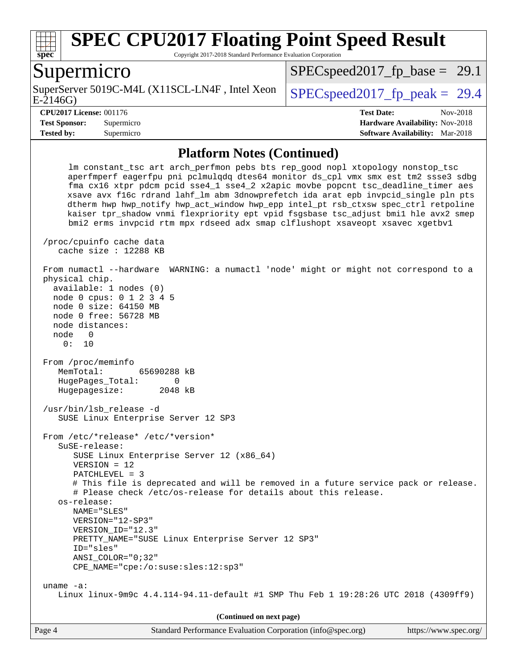

Copyright 2017-2018 Standard Performance Evaluation Corporation

## Supermicro

E-2146G) SuperServer 5019C-M4L (X11SCL-LN4F, Intel Xeon  $\big|$  SPECspeed2017 fp\_peak = 29.4

 $SPECspeed2017_fp\_base = 29.1$ 

**[CPU2017 License:](http://www.spec.org/auto/cpu2017/Docs/result-fields.html#CPU2017License)** 001176 **[Test Date:](http://www.spec.org/auto/cpu2017/Docs/result-fields.html#TestDate)** Nov-2018 **[Test Sponsor:](http://www.spec.org/auto/cpu2017/Docs/result-fields.html#TestSponsor)** Supermicro **[Hardware Availability:](http://www.spec.org/auto/cpu2017/Docs/result-fields.html#HardwareAvailability)** Nov-2018 **[Tested by:](http://www.spec.org/auto/cpu2017/Docs/result-fields.html#Testedby)** Supermicro **[Software Availability:](http://www.spec.org/auto/cpu2017/Docs/result-fields.html#SoftwareAvailability)** Mar-2018

#### **[Platform Notes \(Continued\)](http://www.spec.org/auto/cpu2017/Docs/result-fields.html#PlatformNotes)**

 lm constant\_tsc art arch\_perfmon pebs bts rep\_good nopl xtopology nonstop\_tsc aperfmperf eagerfpu pni pclmulqdq dtes64 monitor ds\_cpl vmx smx est tm2 ssse3 sdbg fma cx16 xtpr pdcm pcid sse4\_1 sse4\_2 x2apic movbe popcnt tsc\_deadline\_timer aes xsave avx f16c rdrand lahf\_lm abm 3dnowprefetch ida arat epb invpcid\_single pln pts dtherm hwp hwp\_notify hwp\_act\_window hwp\_epp intel\_pt rsb\_ctxsw spec\_ctrl retpoline kaiser tpr\_shadow vnmi flexpriority ept vpid fsgsbase tsc\_adjust bmi1 hle avx2 smep bmi2 erms invpcid rtm mpx rdseed adx smap clflushopt xsaveopt xsavec xgetbv1 /proc/cpuinfo cache data cache size : 12288 KB From numactl --hardware WARNING: a numactl 'node' might or might not correspond to a physical chip. available: 1 nodes (0) node 0 cpus: 0 1 2 3 4 5 node 0 size: 64150 MB node 0 free: 56728 MB node distances: node 0 0: 10 From /proc/meminfo MemTotal: 65690288 kB HugePages Total: 0 Hugepagesize: 2048 kB /usr/bin/lsb\_release -d SUSE Linux Enterprise Server 12 SP3 From /etc/\*release\* /etc/\*version\* SuSE-release: SUSE Linux Enterprise Server 12 (x86\_64) VERSION = 12 PATCHLEVEL = 3 # This file is deprecated and will be removed in a future service pack or release. # Please check /etc/os-release for details about this release. os-release: NAME="SLES" VERSION="12-SP3" VERSION\_ID="12.3" PRETTY\_NAME="SUSE Linux Enterprise Server 12 SP3" ID="sles" ANSI\_COLOR="0;32" CPE\_NAME="cpe:/o:suse:sles:12:sp3" uname -a: Linux linux-9m9c 4.4.114-94.11-default #1 SMP Thu Feb 1 19:28:26 UTC 2018 (4309ff9) **(Continued on next page)**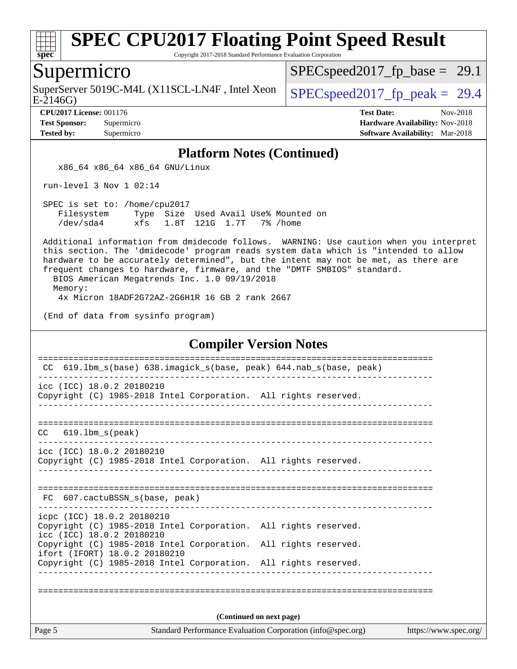

Copyright 2017-2018 Standard Performance Evaluation Corporation

## Supermicro

SuperServer 5019C-M4L (X11SCL-LN4F, Intel Xeon  $\big|$  [SPECspeed2017\\_fp\\_peak =](http://www.spec.org/auto/cpu2017/Docs/result-fields.html#SPECspeed2017fppeak) 29.4

[SPECspeed2017\\_fp\\_base =](http://www.spec.org/auto/cpu2017/Docs/result-fields.html#SPECspeed2017fpbase) 29.1

E-2146G)

**[CPU2017 License:](http://www.spec.org/auto/cpu2017/Docs/result-fields.html#CPU2017License)** 001176 **[Test Date:](http://www.spec.org/auto/cpu2017/Docs/result-fields.html#TestDate)** Nov-2018 **[Test Sponsor:](http://www.spec.org/auto/cpu2017/Docs/result-fields.html#TestSponsor)** Supermicro **[Hardware Availability:](http://www.spec.org/auto/cpu2017/Docs/result-fields.html#HardwareAvailability)** Nov-2018 **[Tested by:](http://www.spec.org/auto/cpu2017/Docs/result-fields.html#Testedby)** Supermicro **[Software Availability:](http://www.spec.org/auto/cpu2017/Docs/result-fields.html#SoftwareAvailability)** Mar-2018

### **[Platform Notes \(Continued\)](http://www.spec.org/auto/cpu2017/Docs/result-fields.html#PlatformNotes)**

x86\_64 x86\_64 x86\_64 GNU/Linux

run-level 3 Nov 1 02:14

 SPEC is set to: /home/cpu2017 Filesystem Type Size Used Avail Use% Mounted on /dev/sda4 xfs 1.8T 121G 1.7T 7% /home

 Additional information from dmidecode follows. WARNING: Use caution when you interpret this section. The 'dmidecode' program reads system data which is "intended to allow hardware to be accurately determined", but the intent may not be met, as there are frequent changes to hardware, firmware, and the "DMTF SMBIOS" standard.

BIOS American Megatrends Inc. 1.0 09/19/2018

Memory:

4x Micron 18ADF2G72AZ-2G6H1R 16 GB 2 rank 2667

(End of data from sysinfo program)

#### **[Compiler Version Notes](http://www.spec.org/auto/cpu2017/Docs/result-fields.html#CompilerVersionNotes)**

| CC.                                                     | 619.1bm_s(base) 638.imagick_s(base, peak) 644.nab_s(base, peak) |                                                             |                       |
|---------------------------------------------------------|-----------------------------------------------------------------|-------------------------------------------------------------|-----------------------|
| icc (ICC) 18.0.2 20180210                               | Copyright (C) 1985-2018 Intel Corporation. All rights reserved. |                                                             |                       |
| $CC$ 619.1bm $s$ (peak)                                 |                                                                 |                                                             |                       |
| icc (ICC) 18.0.2 20180210                               | Copyright (C) 1985-2018 Intel Corporation. All rights reserved. |                                                             |                       |
|                                                         | FC 607.cactuBSSN s(base, peak)                                  |                                                             |                       |
| icpc (ICC) 18.0.2 20180210<br>icc (ICC) 18.0.2 20180210 | Copyright (C) 1985-2018 Intel Corporation. All rights reserved. |                                                             |                       |
| ifort (IFORT) 18.0.2 20180210                           | Copyright (C) 1985-2018 Intel Corporation. All rights reserved. |                                                             |                       |
|                                                         | Copyright (C) 1985-2018 Intel Corporation. All rights reserved. |                                                             |                       |
|                                                         |                                                                 |                                                             |                       |
|                                                         |                                                                 | (Continued on next page)                                    |                       |
| Page 5                                                  |                                                                 | Standard Performance Evaluation Corporation (info@spec.org) | https://www.spec.org/ |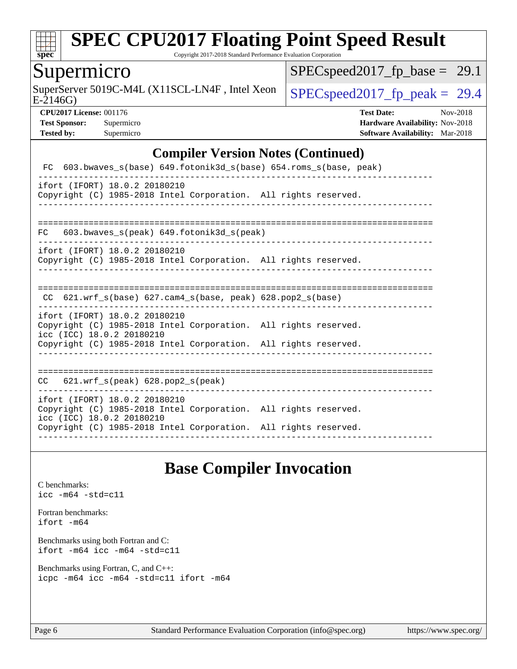

Copyright 2017-2018 Standard Performance Evaluation Corporation

## Supermicro

E-2146G) SuperServer 5019C-M4L (X11SCL-LN4F, Intel Xeon  $\big|$  [SPECspeed2017\\_fp\\_peak =](http://www.spec.org/auto/cpu2017/Docs/result-fields.html#SPECspeed2017fppeak) 29.4

[SPECspeed2017\\_fp\\_base =](http://www.spec.org/auto/cpu2017/Docs/result-fields.html#SPECspeed2017fpbase) 29.1

**[CPU2017 License:](http://www.spec.org/auto/cpu2017/Docs/result-fields.html#CPU2017License)** 001176 **[Test Date:](http://www.spec.org/auto/cpu2017/Docs/result-fields.html#TestDate)** Nov-2018 **[Test Sponsor:](http://www.spec.org/auto/cpu2017/Docs/result-fields.html#TestSponsor)** Supermicro **[Hardware Availability:](http://www.spec.org/auto/cpu2017/Docs/result-fields.html#HardwareAvailability)** Nov-2018 **[Tested by:](http://www.spec.org/auto/cpu2017/Docs/result-fields.html#Testedby)** Supermicro **[Software Availability:](http://www.spec.org/auto/cpu2017/Docs/result-fields.html#SoftwareAvailability)** Mar-2018

### **[Compiler Version Notes \(Continued\)](http://www.spec.org/auto/cpu2017/Docs/result-fields.html#CompilerVersionNotes)**

| FC 603.bwaves_s(base) 649.fotonik3d_s(base) 654.roms_s(base, peak)                                                                                                                               |
|--------------------------------------------------------------------------------------------------------------------------------------------------------------------------------------------------|
| ifort (IFORT) 18.0.2 20180210<br>Copyright (C) 1985-2018 Intel Corporation. All rights reserved.                                                                                                 |
| 603.bwaves $s(\text{peak})$ 649.fotonik3d $s(\text{peak})$<br>FC                                                                                                                                 |
| ifort (IFORT) 18.0.2 20180210<br>Copyright (C) 1985-2018 Intel Corporation. All rights reserved.                                                                                                 |
| CC $621.wrf$ s(base) $627.cam4$ s(base, peak) $628.pop2$ s(base)                                                                                                                                 |
| ifort (IFORT) 18.0.2 20180210<br>Copyright (C) 1985-2018 Intel Corporation. All rights reserved.<br>icc (ICC) 18.0.2 20180210<br>Copyright (C) 1985-2018 Intel Corporation. All rights reserved. |
| $CC$ 621.wrf $s$ (peak) 628.pop2 $s$ (peak)                                                                                                                                                      |
| ifort (IFORT) 18.0.2 20180210<br>Copyright (C) 1985-2018 Intel Corporation. All rights reserved.<br>icc (ICC) 18.0.2 20180210<br>Copyright (C) 1985-2018 Intel Corporation. All rights reserved. |

## **[Base Compiler Invocation](http://www.spec.org/auto/cpu2017/Docs/result-fields.html#BaseCompilerInvocation)**

[C benchmarks](http://www.spec.org/auto/cpu2017/Docs/result-fields.html#Cbenchmarks): [icc -m64 -std=c11](http://www.spec.org/cpu2017/results/res2018q4/cpu2017-20181112-09626.flags.html#user_CCbase_intel_icc_64bit_c11_33ee0cdaae7deeeab2a9725423ba97205ce30f63b9926c2519791662299b76a0318f32ddfffdc46587804de3178b4f9328c46fa7c2b0cd779d7a61945c91cd35)

[Fortran benchmarks](http://www.spec.org/auto/cpu2017/Docs/result-fields.html#Fortranbenchmarks): [ifort -m64](http://www.spec.org/cpu2017/results/res2018q4/cpu2017-20181112-09626.flags.html#user_FCbase_intel_ifort_64bit_24f2bb282fbaeffd6157abe4f878425411749daecae9a33200eee2bee2fe76f3b89351d69a8130dd5949958ce389cf37ff59a95e7a40d588e8d3a57e0c3fd751)

[Benchmarks using both Fortran and C](http://www.spec.org/auto/cpu2017/Docs/result-fields.html#BenchmarksusingbothFortranandC): [ifort -m64](http://www.spec.org/cpu2017/results/res2018q4/cpu2017-20181112-09626.flags.html#user_CC_FCbase_intel_ifort_64bit_24f2bb282fbaeffd6157abe4f878425411749daecae9a33200eee2bee2fe76f3b89351d69a8130dd5949958ce389cf37ff59a95e7a40d588e8d3a57e0c3fd751) [icc -m64 -std=c11](http://www.spec.org/cpu2017/results/res2018q4/cpu2017-20181112-09626.flags.html#user_CC_FCbase_intel_icc_64bit_c11_33ee0cdaae7deeeab2a9725423ba97205ce30f63b9926c2519791662299b76a0318f32ddfffdc46587804de3178b4f9328c46fa7c2b0cd779d7a61945c91cd35)

[Benchmarks using Fortran, C, and C++:](http://www.spec.org/auto/cpu2017/Docs/result-fields.html#BenchmarksusingFortranCandCXX) [icpc -m64](http://www.spec.org/cpu2017/results/res2018q4/cpu2017-20181112-09626.flags.html#user_CC_CXX_FCbase_intel_icpc_64bit_4ecb2543ae3f1412ef961e0650ca070fec7b7afdcd6ed48761b84423119d1bf6bdf5cad15b44d48e7256388bc77273b966e5eb805aefd121eb22e9299b2ec9d9) [icc -m64 -std=c11](http://www.spec.org/cpu2017/results/res2018q4/cpu2017-20181112-09626.flags.html#user_CC_CXX_FCbase_intel_icc_64bit_c11_33ee0cdaae7deeeab2a9725423ba97205ce30f63b9926c2519791662299b76a0318f32ddfffdc46587804de3178b4f9328c46fa7c2b0cd779d7a61945c91cd35) [ifort -m64](http://www.spec.org/cpu2017/results/res2018q4/cpu2017-20181112-09626.flags.html#user_CC_CXX_FCbase_intel_ifort_64bit_24f2bb282fbaeffd6157abe4f878425411749daecae9a33200eee2bee2fe76f3b89351d69a8130dd5949958ce389cf37ff59a95e7a40d588e8d3a57e0c3fd751)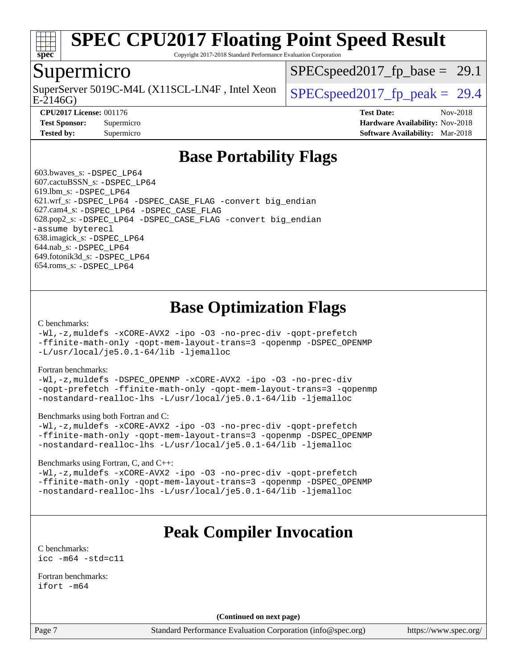

Copyright 2017-2018 Standard Performance Evaluation Corporation

## Supermicro

E-2146G) SuperServer 5019C-M4L (X11SCL-LN4F, Intel Xeon  $\big|$  SPECspeed2017 fp\_peak = 29.4

 $SPECspeed2017_fp\_base = 29.1$ 

**[Tested by:](http://www.spec.org/auto/cpu2017/Docs/result-fields.html#Testedby)** Supermicro **[Software Availability:](http://www.spec.org/auto/cpu2017/Docs/result-fields.html#SoftwareAvailability)** Mar-2018

**[CPU2017 License:](http://www.spec.org/auto/cpu2017/Docs/result-fields.html#CPU2017License)** 001176 **[Test Date:](http://www.spec.org/auto/cpu2017/Docs/result-fields.html#TestDate)** Nov-2018 **[Test Sponsor:](http://www.spec.org/auto/cpu2017/Docs/result-fields.html#TestSponsor)** Supermicro **[Hardware Availability:](http://www.spec.org/auto/cpu2017/Docs/result-fields.html#HardwareAvailability)** Nov-2018

## **[Base Portability Flags](http://www.spec.org/auto/cpu2017/Docs/result-fields.html#BasePortabilityFlags)**

 603.bwaves\_s: [-DSPEC\\_LP64](http://www.spec.org/cpu2017/results/res2018q4/cpu2017-20181112-09626.flags.html#suite_basePORTABILITY603_bwaves_s_DSPEC_LP64) 607.cactuBSSN\_s: [-DSPEC\\_LP64](http://www.spec.org/cpu2017/results/res2018q4/cpu2017-20181112-09626.flags.html#suite_basePORTABILITY607_cactuBSSN_s_DSPEC_LP64) 619.lbm\_s: [-DSPEC\\_LP64](http://www.spec.org/cpu2017/results/res2018q4/cpu2017-20181112-09626.flags.html#suite_basePORTABILITY619_lbm_s_DSPEC_LP64) 621.wrf\_s: [-DSPEC\\_LP64](http://www.spec.org/cpu2017/results/res2018q4/cpu2017-20181112-09626.flags.html#suite_basePORTABILITY621_wrf_s_DSPEC_LP64) [-DSPEC\\_CASE\\_FLAG](http://www.spec.org/cpu2017/results/res2018q4/cpu2017-20181112-09626.flags.html#b621.wrf_s_baseCPORTABILITY_DSPEC_CASE_FLAG) [-convert big\\_endian](http://www.spec.org/cpu2017/results/res2018q4/cpu2017-20181112-09626.flags.html#user_baseFPORTABILITY621_wrf_s_convert_big_endian_c3194028bc08c63ac5d04de18c48ce6d347e4e562e8892b8bdbdc0214820426deb8554edfa529a3fb25a586e65a3d812c835984020483e7e73212c4d31a38223) 627.cam4\_s: [-DSPEC\\_LP64](http://www.spec.org/cpu2017/results/res2018q4/cpu2017-20181112-09626.flags.html#suite_basePORTABILITY627_cam4_s_DSPEC_LP64) [-DSPEC\\_CASE\\_FLAG](http://www.spec.org/cpu2017/results/res2018q4/cpu2017-20181112-09626.flags.html#b627.cam4_s_baseCPORTABILITY_DSPEC_CASE_FLAG) 628.pop2\_s: [-DSPEC\\_LP64](http://www.spec.org/cpu2017/results/res2018q4/cpu2017-20181112-09626.flags.html#suite_basePORTABILITY628_pop2_s_DSPEC_LP64) [-DSPEC\\_CASE\\_FLAG](http://www.spec.org/cpu2017/results/res2018q4/cpu2017-20181112-09626.flags.html#b628.pop2_s_baseCPORTABILITY_DSPEC_CASE_FLAG) [-convert big\\_endian](http://www.spec.org/cpu2017/results/res2018q4/cpu2017-20181112-09626.flags.html#user_baseFPORTABILITY628_pop2_s_convert_big_endian_c3194028bc08c63ac5d04de18c48ce6d347e4e562e8892b8bdbdc0214820426deb8554edfa529a3fb25a586e65a3d812c835984020483e7e73212c4d31a38223) [-assume byterecl](http://www.spec.org/cpu2017/results/res2018q4/cpu2017-20181112-09626.flags.html#user_baseFPORTABILITY628_pop2_s_assume_byterecl_7e47d18b9513cf18525430bbf0f2177aa9bf368bc7a059c09b2c06a34b53bd3447c950d3f8d6c70e3faf3a05c8557d66a5798b567902e8849adc142926523472) 638.imagick\_s: [-DSPEC\\_LP64](http://www.spec.org/cpu2017/results/res2018q4/cpu2017-20181112-09626.flags.html#suite_basePORTABILITY638_imagick_s_DSPEC_LP64) 644.nab\_s: [-DSPEC\\_LP64](http://www.spec.org/cpu2017/results/res2018q4/cpu2017-20181112-09626.flags.html#suite_basePORTABILITY644_nab_s_DSPEC_LP64) 649.fotonik3d\_s: [-DSPEC\\_LP64](http://www.spec.org/cpu2017/results/res2018q4/cpu2017-20181112-09626.flags.html#suite_basePORTABILITY649_fotonik3d_s_DSPEC_LP64) 654.roms\_s: [-DSPEC\\_LP64](http://www.spec.org/cpu2017/results/res2018q4/cpu2017-20181112-09626.flags.html#suite_basePORTABILITY654_roms_s_DSPEC_LP64)

## **[Base Optimization Flags](http://www.spec.org/auto/cpu2017/Docs/result-fields.html#BaseOptimizationFlags)**

#### [C benchmarks](http://www.spec.org/auto/cpu2017/Docs/result-fields.html#Cbenchmarks):

[-Wl,-z,muldefs](http://www.spec.org/cpu2017/results/res2018q4/cpu2017-20181112-09626.flags.html#user_CCbase_link_force_multiple1_b4cbdb97b34bdee9ceefcfe54f4c8ea74255f0b02a4b23e853cdb0e18eb4525ac79b5a88067c842dd0ee6996c24547a27a4b99331201badda8798ef8a743f577) [-xCORE-AVX2](http://www.spec.org/cpu2017/results/res2018q4/cpu2017-20181112-09626.flags.html#user_CCbase_f-xCORE-AVX2) [-ipo](http://www.spec.org/cpu2017/results/res2018q4/cpu2017-20181112-09626.flags.html#user_CCbase_f-ipo) [-O3](http://www.spec.org/cpu2017/results/res2018q4/cpu2017-20181112-09626.flags.html#user_CCbase_f-O3) [-no-prec-div](http://www.spec.org/cpu2017/results/res2018q4/cpu2017-20181112-09626.flags.html#user_CCbase_f-no-prec-div) [-qopt-prefetch](http://www.spec.org/cpu2017/results/res2018q4/cpu2017-20181112-09626.flags.html#user_CCbase_f-qopt-prefetch) [-ffinite-math-only](http://www.spec.org/cpu2017/results/res2018q4/cpu2017-20181112-09626.flags.html#user_CCbase_f_finite_math_only_cb91587bd2077682c4b38af759c288ed7c732db004271a9512da14a4f8007909a5f1427ecbf1a0fb78ff2a814402c6114ac565ca162485bbcae155b5e4258871) [-qopt-mem-layout-trans=3](http://www.spec.org/cpu2017/results/res2018q4/cpu2017-20181112-09626.flags.html#user_CCbase_f-qopt-mem-layout-trans_de80db37974c74b1f0e20d883f0b675c88c3b01e9d123adea9b28688d64333345fb62bc4a798493513fdb68f60282f9a726aa07f478b2f7113531aecce732043) [-qopenmp](http://www.spec.org/cpu2017/results/res2018q4/cpu2017-20181112-09626.flags.html#user_CCbase_qopenmp_16be0c44f24f464004c6784a7acb94aca937f053568ce72f94b139a11c7c168634a55f6653758ddd83bcf7b8463e8028bb0b48b77bcddc6b78d5d95bb1df2967) [-DSPEC\\_OPENMP](http://www.spec.org/cpu2017/results/res2018q4/cpu2017-20181112-09626.flags.html#suite_CCbase_DSPEC_OPENMP) [-L/usr/local/je5.0.1-64/lib](http://www.spec.org/cpu2017/results/res2018q4/cpu2017-20181112-09626.flags.html#user_CCbase_jemalloc_link_path64_4b10a636b7bce113509b17f3bd0d6226c5fb2346b9178c2d0232c14f04ab830f976640479e5c33dc2bcbbdad86ecfb6634cbbd4418746f06f368b512fced5394) [-ljemalloc](http://www.spec.org/cpu2017/results/res2018q4/cpu2017-20181112-09626.flags.html#user_CCbase_jemalloc_link_lib_d1249b907c500fa1c0672f44f562e3d0f79738ae9e3c4a9c376d49f265a04b9c99b167ecedbf6711b3085be911c67ff61f150a17b3472be731631ba4d0471706)

#### [Fortran benchmarks](http://www.spec.org/auto/cpu2017/Docs/result-fields.html#Fortranbenchmarks):

[-Wl,-z,muldefs](http://www.spec.org/cpu2017/results/res2018q4/cpu2017-20181112-09626.flags.html#user_FCbase_link_force_multiple1_b4cbdb97b34bdee9ceefcfe54f4c8ea74255f0b02a4b23e853cdb0e18eb4525ac79b5a88067c842dd0ee6996c24547a27a4b99331201badda8798ef8a743f577) [-DSPEC\\_OPENMP](http://www.spec.org/cpu2017/results/res2018q4/cpu2017-20181112-09626.flags.html#suite_FCbase_DSPEC_OPENMP) [-xCORE-AVX2](http://www.spec.org/cpu2017/results/res2018q4/cpu2017-20181112-09626.flags.html#user_FCbase_f-xCORE-AVX2) [-ipo](http://www.spec.org/cpu2017/results/res2018q4/cpu2017-20181112-09626.flags.html#user_FCbase_f-ipo) [-O3](http://www.spec.org/cpu2017/results/res2018q4/cpu2017-20181112-09626.flags.html#user_FCbase_f-O3) [-no-prec-div](http://www.spec.org/cpu2017/results/res2018q4/cpu2017-20181112-09626.flags.html#user_FCbase_f-no-prec-div) [-qopt-prefetch](http://www.spec.org/cpu2017/results/res2018q4/cpu2017-20181112-09626.flags.html#user_FCbase_f-qopt-prefetch) [-ffinite-math-only](http://www.spec.org/cpu2017/results/res2018q4/cpu2017-20181112-09626.flags.html#user_FCbase_f_finite_math_only_cb91587bd2077682c4b38af759c288ed7c732db004271a9512da14a4f8007909a5f1427ecbf1a0fb78ff2a814402c6114ac565ca162485bbcae155b5e4258871) [-qopt-mem-layout-trans=3](http://www.spec.org/cpu2017/results/res2018q4/cpu2017-20181112-09626.flags.html#user_FCbase_f-qopt-mem-layout-trans_de80db37974c74b1f0e20d883f0b675c88c3b01e9d123adea9b28688d64333345fb62bc4a798493513fdb68f60282f9a726aa07f478b2f7113531aecce732043) [-qopenmp](http://www.spec.org/cpu2017/results/res2018q4/cpu2017-20181112-09626.flags.html#user_FCbase_qopenmp_16be0c44f24f464004c6784a7acb94aca937f053568ce72f94b139a11c7c168634a55f6653758ddd83bcf7b8463e8028bb0b48b77bcddc6b78d5d95bb1df2967) [-nostandard-realloc-lhs](http://www.spec.org/cpu2017/results/res2018q4/cpu2017-20181112-09626.flags.html#user_FCbase_f_2003_std_realloc_82b4557e90729c0f113870c07e44d33d6f5a304b4f63d4c15d2d0f1fab99f5daaed73bdb9275d9ae411527f28b936061aa8b9c8f2d63842963b95c9dd6426b8a) [-L/usr/local/je5.0.1-64/lib](http://www.spec.org/cpu2017/results/res2018q4/cpu2017-20181112-09626.flags.html#user_FCbase_jemalloc_link_path64_4b10a636b7bce113509b17f3bd0d6226c5fb2346b9178c2d0232c14f04ab830f976640479e5c33dc2bcbbdad86ecfb6634cbbd4418746f06f368b512fced5394) [-ljemalloc](http://www.spec.org/cpu2017/results/res2018q4/cpu2017-20181112-09626.flags.html#user_FCbase_jemalloc_link_lib_d1249b907c500fa1c0672f44f562e3d0f79738ae9e3c4a9c376d49f265a04b9c99b167ecedbf6711b3085be911c67ff61f150a17b3472be731631ba4d0471706)

#### [Benchmarks using both Fortran and C](http://www.spec.org/auto/cpu2017/Docs/result-fields.html#BenchmarksusingbothFortranandC):

[-Wl,-z,muldefs](http://www.spec.org/cpu2017/results/res2018q4/cpu2017-20181112-09626.flags.html#user_CC_FCbase_link_force_multiple1_b4cbdb97b34bdee9ceefcfe54f4c8ea74255f0b02a4b23e853cdb0e18eb4525ac79b5a88067c842dd0ee6996c24547a27a4b99331201badda8798ef8a743f577) [-xCORE-AVX2](http://www.spec.org/cpu2017/results/res2018q4/cpu2017-20181112-09626.flags.html#user_CC_FCbase_f-xCORE-AVX2) [-ipo](http://www.spec.org/cpu2017/results/res2018q4/cpu2017-20181112-09626.flags.html#user_CC_FCbase_f-ipo) [-O3](http://www.spec.org/cpu2017/results/res2018q4/cpu2017-20181112-09626.flags.html#user_CC_FCbase_f-O3) [-no-prec-div](http://www.spec.org/cpu2017/results/res2018q4/cpu2017-20181112-09626.flags.html#user_CC_FCbase_f-no-prec-div) [-qopt-prefetch](http://www.spec.org/cpu2017/results/res2018q4/cpu2017-20181112-09626.flags.html#user_CC_FCbase_f-qopt-prefetch) [-ffinite-math-only](http://www.spec.org/cpu2017/results/res2018q4/cpu2017-20181112-09626.flags.html#user_CC_FCbase_f_finite_math_only_cb91587bd2077682c4b38af759c288ed7c732db004271a9512da14a4f8007909a5f1427ecbf1a0fb78ff2a814402c6114ac565ca162485bbcae155b5e4258871) [-qopt-mem-layout-trans=3](http://www.spec.org/cpu2017/results/res2018q4/cpu2017-20181112-09626.flags.html#user_CC_FCbase_f-qopt-mem-layout-trans_de80db37974c74b1f0e20d883f0b675c88c3b01e9d123adea9b28688d64333345fb62bc4a798493513fdb68f60282f9a726aa07f478b2f7113531aecce732043) [-qopenmp](http://www.spec.org/cpu2017/results/res2018q4/cpu2017-20181112-09626.flags.html#user_CC_FCbase_qopenmp_16be0c44f24f464004c6784a7acb94aca937f053568ce72f94b139a11c7c168634a55f6653758ddd83bcf7b8463e8028bb0b48b77bcddc6b78d5d95bb1df2967) [-DSPEC\\_OPENMP](http://www.spec.org/cpu2017/results/res2018q4/cpu2017-20181112-09626.flags.html#suite_CC_FCbase_DSPEC_OPENMP) [-nostandard-realloc-lhs](http://www.spec.org/cpu2017/results/res2018q4/cpu2017-20181112-09626.flags.html#user_CC_FCbase_f_2003_std_realloc_82b4557e90729c0f113870c07e44d33d6f5a304b4f63d4c15d2d0f1fab99f5daaed73bdb9275d9ae411527f28b936061aa8b9c8f2d63842963b95c9dd6426b8a) [-L/usr/local/je5.0.1-64/lib](http://www.spec.org/cpu2017/results/res2018q4/cpu2017-20181112-09626.flags.html#user_CC_FCbase_jemalloc_link_path64_4b10a636b7bce113509b17f3bd0d6226c5fb2346b9178c2d0232c14f04ab830f976640479e5c33dc2bcbbdad86ecfb6634cbbd4418746f06f368b512fced5394) [-ljemalloc](http://www.spec.org/cpu2017/results/res2018q4/cpu2017-20181112-09626.flags.html#user_CC_FCbase_jemalloc_link_lib_d1249b907c500fa1c0672f44f562e3d0f79738ae9e3c4a9c376d49f265a04b9c99b167ecedbf6711b3085be911c67ff61f150a17b3472be731631ba4d0471706)

#### [Benchmarks using Fortran, C, and C++:](http://www.spec.org/auto/cpu2017/Docs/result-fields.html#BenchmarksusingFortranCandCXX)

[-Wl,-z,muldefs](http://www.spec.org/cpu2017/results/res2018q4/cpu2017-20181112-09626.flags.html#user_CC_CXX_FCbase_link_force_multiple1_b4cbdb97b34bdee9ceefcfe54f4c8ea74255f0b02a4b23e853cdb0e18eb4525ac79b5a88067c842dd0ee6996c24547a27a4b99331201badda8798ef8a743f577) [-xCORE-AVX2](http://www.spec.org/cpu2017/results/res2018q4/cpu2017-20181112-09626.flags.html#user_CC_CXX_FCbase_f-xCORE-AVX2) [-ipo](http://www.spec.org/cpu2017/results/res2018q4/cpu2017-20181112-09626.flags.html#user_CC_CXX_FCbase_f-ipo) [-O3](http://www.spec.org/cpu2017/results/res2018q4/cpu2017-20181112-09626.flags.html#user_CC_CXX_FCbase_f-O3) [-no-prec-div](http://www.spec.org/cpu2017/results/res2018q4/cpu2017-20181112-09626.flags.html#user_CC_CXX_FCbase_f-no-prec-div) [-qopt-prefetch](http://www.spec.org/cpu2017/results/res2018q4/cpu2017-20181112-09626.flags.html#user_CC_CXX_FCbase_f-qopt-prefetch) [-ffinite-math-only](http://www.spec.org/cpu2017/results/res2018q4/cpu2017-20181112-09626.flags.html#user_CC_CXX_FCbase_f_finite_math_only_cb91587bd2077682c4b38af759c288ed7c732db004271a9512da14a4f8007909a5f1427ecbf1a0fb78ff2a814402c6114ac565ca162485bbcae155b5e4258871) [-qopt-mem-layout-trans=3](http://www.spec.org/cpu2017/results/res2018q4/cpu2017-20181112-09626.flags.html#user_CC_CXX_FCbase_f-qopt-mem-layout-trans_de80db37974c74b1f0e20d883f0b675c88c3b01e9d123adea9b28688d64333345fb62bc4a798493513fdb68f60282f9a726aa07f478b2f7113531aecce732043) [-qopenmp](http://www.spec.org/cpu2017/results/res2018q4/cpu2017-20181112-09626.flags.html#user_CC_CXX_FCbase_qopenmp_16be0c44f24f464004c6784a7acb94aca937f053568ce72f94b139a11c7c168634a55f6653758ddd83bcf7b8463e8028bb0b48b77bcddc6b78d5d95bb1df2967) [-DSPEC\\_OPENMP](http://www.spec.org/cpu2017/results/res2018q4/cpu2017-20181112-09626.flags.html#suite_CC_CXX_FCbase_DSPEC_OPENMP) [-nostandard-realloc-lhs](http://www.spec.org/cpu2017/results/res2018q4/cpu2017-20181112-09626.flags.html#user_CC_CXX_FCbase_f_2003_std_realloc_82b4557e90729c0f113870c07e44d33d6f5a304b4f63d4c15d2d0f1fab99f5daaed73bdb9275d9ae411527f28b936061aa8b9c8f2d63842963b95c9dd6426b8a) [-L/usr/local/je5.0.1-64/lib](http://www.spec.org/cpu2017/results/res2018q4/cpu2017-20181112-09626.flags.html#user_CC_CXX_FCbase_jemalloc_link_path64_4b10a636b7bce113509b17f3bd0d6226c5fb2346b9178c2d0232c14f04ab830f976640479e5c33dc2bcbbdad86ecfb6634cbbd4418746f06f368b512fced5394) [-ljemalloc](http://www.spec.org/cpu2017/results/res2018q4/cpu2017-20181112-09626.flags.html#user_CC_CXX_FCbase_jemalloc_link_lib_d1249b907c500fa1c0672f44f562e3d0f79738ae9e3c4a9c376d49f265a04b9c99b167ecedbf6711b3085be911c67ff61f150a17b3472be731631ba4d0471706)

## **[Peak Compiler Invocation](http://www.spec.org/auto/cpu2017/Docs/result-fields.html#PeakCompilerInvocation)**

[C benchmarks](http://www.spec.org/auto/cpu2017/Docs/result-fields.html#Cbenchmarks): [icc -m64 -std=c11](http://www.spec.org/cpu2017/results/res2018q4/cpu2017-20181112-09626.flags.html#user_CCpeak_intel_icc_64bit_c11_33ee0cdaae7deeeab2a9725423ba97205ce30f63b9926c2519791662299b76a0318f32ddfffdc46587804de3178b4f9328c46fa7c2b0cd779d7a61945c91cd35)

[Fortran benchmarks](http://www.spec.org/auto/cpu2017/Docs/result-fields.html#Fortranbenchmarks): [ifort -m64](http://www.spec.org/cpu2017/results/res2018q4/cpu2017-20181112-09626.flags.html#user_FCpeak_intel_ifort_64bit_24f2bb282fbaeffd6157abe4f878425411749daecae9a33200eee2bee2fe76f3b89351d69a8130dd5949958ce389cf37ff59a95e7a40d588e8d3a57e0c3fd751)

**(Continued on next page)**

Page 7 Standard Performance Evaluation Corporation [\(info@spec.org\)](mailto:info@spec.org) <https://www.spec.org/>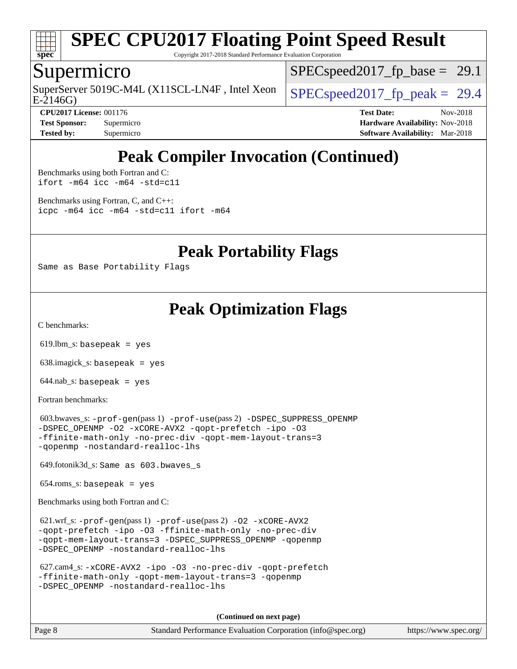

Copyright 2017-2018 Standard Performance Evaluation Corporation

## Supermicro

E-2146G) SuperServer 5019C-M4L (X11SCL-LN4F, Intel Xeon  $\big|$  SPECspeed2017 fp\_peak = 29.4

 $SPECspeed2017_fp\_base = 29.1$ 

**[CPU2017 License:](http://www.spec.org/auto/cpu2017/Docs/result-fields.html#CPU2017License)** 001176 **[Test Date:](http://www.spec.org/auto/cpu2017/Docs/result-fields.html#TestDate)** Nov-2018 **[Test Sponsor:](http://www.spec.org/auto/cpu2017/Docs/result-fields.html#TestSponsor)** Supermicro **[Hardware Availability:](http://www.spec.org/auto/cpu2017/Docs/result-fields.html#HardwareAvailability)** Nov-2018 **[Tested by:](http://www.spec.org/auto/cpu2017/Docs/result-fields.html#Testedby)** Supermicro **[Software Availability:](http://www.spec.org/auto/cpu2017/Docs/result-fields.html#SoftwareAvailability)** Mar-2018

## **[Peak Compiler Invocation \(Continued\)](http://www.spec.org/auto/cpu2017/Docs/result-fields.html#PeakCompilerInvocation)**

[Benchmarks using both Fortran and C](http://www.spec.org/auto/cpu2017/Docs/result-fields.html#BenchmarksusingbothFortranandC): [ifort -m64](http://www.spec.org/cpu2017/results/res2018q4/cpu2017-20181112-09626.flags.html#user_CC_FCpeak_intel_ifort_64bit_24f2bb282fbaeffd6157abe4f878425411749daecae9a33200eee2bee2fe76f3b89351d69a8130dd5949958ce389cf37ff59a95e7a40d588e8d3a57e0c3fd751) [icc -m64 -std=c11](http://www.spec.org/cpu2017/results/res2018q4/cpu2017-20181112-09626.flags.html#user_CC_FCpeak_intel_icc_64bit_c11_33ee0cdaae7deeeab2a9725423ba97205ce30f63b9926c2519791662299b76a0318f32ddfffdc46587804de3178b4f9328c46fa7c2b0cd779d7a61945c91cd35)

[Benchmarks using Fortran, C, and C++:](http://www.spec.org/auto/cpu2017/Docs/result-fields.html#BenchmarksusingFortranCandCXX) [icpc -m64](http://www.spec.org/cpu2017/results/res2018q4/cpu2017-20181112-09626.flags.html#user_CC_CXX_FCpeak_intel_icpc_64bit_4ecb2543ae3f1412ef961e0650ca070fec7b7afdcd6ed48761b84423119d1bf6bdf5cad15b44d48e7256388bc77273b966e5eb805aefd121eb22e9299b2ec9d9) [icc -m64 -std=c11](http://www.spec.org/cpu2017/results/res2018q4/cpu2017-20181112-09626.flags.html#user_CC_CXX_FCpeak_intel_icc_64bit_c11_33ee0cdaae7deeeab2a9725423ba97205ce30f63b9926c2519791662299b76a0318f32ddfffdc46587804de3178b4f9328c46fa7c2b0cd779d7a61945c91cd35) [ifort -m64](http://www.spec.org/cpu2017/results/res2018q4/cpu2017-20181112-09626.flags.html#user_CC_CXX_FCpeak_intel_ifort_64bit_24f2bb282fbaeffd6157abe4f878425411749daecae9a33200eee2bee2fe76f3b89351d69a8130dd5949958ce389cf37ff59a95e7a40d588e8d3a57e0c3fd751)

**[Peak Portability Flags](http://www.spec.org/auto/cpu2017/Docs/result-fields.html#PeakPortabilityFlags)**

Same as Base Portability Flags

## **[Peak Optimization Flags](http://www.spec.org/auto/cpu2017/Docs/result-fields.html#PeakOptimizationFlags)**

[C benchmarks](http://www.spec.org/auto/cpu2017/Docs/result-fields.html#Cbenchmarks):

619.lbm\_s: basepeak = yes

638.imagick\_s: basepeak = yes

 $644.nab$ <sub>s</sub>: basepeak = yes

[Fortran benchmarks](http://www.spec.org/auto/cpu2017/Docs/result-fields.html#Fortranbenchmarks):

```
 603.bwaves_s: -prof-gen(pass 1) -prof-use(pass 2) -DSPEC_SUPPRESS_OPENMP
-DSPEC_OPENMP -O2 -xCORE-AVX2 -qopt-prefetch -ipo -O3
-ffinite-math-only -no-prec-div -qopt-mem-layout-trans=3
-qopenmp -nostandard-realloc-lhs
```
649.fotonik3d\_s: Same as 603.bwaves\_s

654.roms\_s: basepeak = yes

[Benchmarks using both Fortran and C](http://www.spec.org/auto/cpu2017/Docs/result-fields.html#BenchmarksusingbothFortranandC):

```
 621.wrf_s: -prof-gen(pass 1) -prof-use(pass 2) -O2 -xCORE-AVX2
-qopt-prefetch -ipo -O3 -ffinite-math-only -no-prec-div
-qopt-mem-layout-trans=3 -DSPEC_SUPPRESS_OPENMP -qopenmp
-DSPEC_OPENMP -nostandard-realloc-lhs
```

```
 627.cam4_s: -xCORE-AVX2 -ipo -O3 -no-prec-div -qopt-prefetch
-ffinite-math-only -qopt-mem-layout-trans=3 -qopenmp
-DSPEC_OPENMP -nostandard-realloc-lhs
```
**(Continued on next page)**